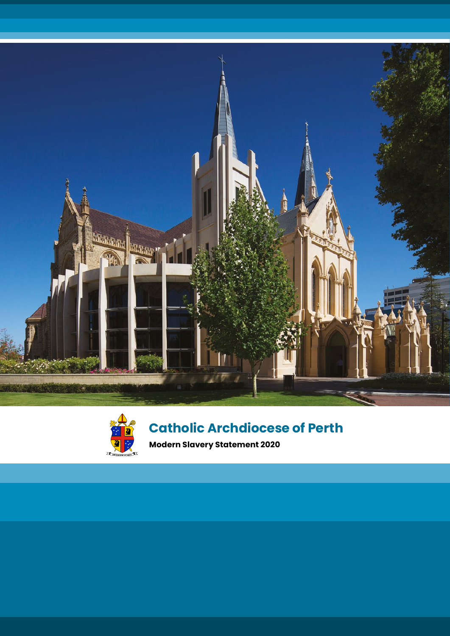



# **Catholic Archdiocese of Perth**

**Modern Slavery Statement 2020**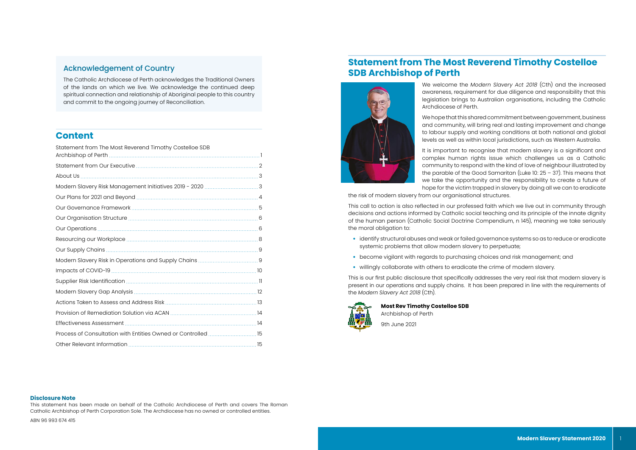## Acknowledgement of Country

The Catholic Archdiocese of Perth acknowledges the Traditional Owners of the lands on which we live. We acknowledge the continued deep spiritual connection and relationship of Aboriginal people to this country and commit to the ongoing journey of Reconciliation.

## **Content**

| Statement from The Most Reverend Timothy Costelloe SDB        |  |
|---------------------------------------------------------------|--|
|                                                               |  |
|                                                               |  |
|                                                               |  |
|                                                               |  |
|                                                               |  |
|                                                               |  |
|                                                               |  |
|                                                               |  |
|                                                               |  |
|                                                               |  |
|                                                               |  |
|                                                               |  |
|                                                               |  |
|                                                               |  |
|                                                               |  |
|                                                               |  |
| Process of Consultation with Entities Owned or Controlled  15 |  |
|                                                               |  |

#### **Disclosure Note**

This statement has been made on behalf of the Catholic Archdiocese of Perth and covers The Roman Catholic Archbishop of Perth Corporation Sole. The Archdiocese has no owned or controlled entities.

ABN 96 993 674 415

# **Statement from The Most Reverend Timothy Costelloe SDB Archbishop of Perth**



We welcome the *Modern Slavery Act 2018* (Cth) and the increased awareness, requirement for due diligence and responsibility that this legislation brings to Australian organisations, including the Catholic Archdiocese of Perth.

We hope that this shared commitment between government, business and community, will bring real and lasting improvement and change to labour supply and working conditions at both national and global levels as well as within local jurisdictions, such as Western Australia.

It is important to recognise that modern slavery is a significant and complex human rights issue which challenges us as a Catholic community to respond with the kind of love of neighbour illustrated by the parable of the Good Samaritan (Luke 10:  $25 - 37$ ). This means that we take the opportunity and the responsibility to create a future of hope for the victim trapped in slavery by doing all we can to eradicate the risk of modern slavery from our organisational structures.

This call to action is also reflected in our professed faith which we live out in community through decisions and actions informed by Catholic social teaching and its principle of the innate dignity of the human person (Catholic Social Doctrine Compendium, n 145), meaning we take seriously the moral obligation to:

- identify structural abuses and weak or failed governance systems so as to reduce or eradicate systemic problems that allow modern slavery to perpetuate;
- become vigilant with regards to purchasing choices and risk management; and
- willingly collaborate with others to eradicate the crime of modern slavery.

This is our first public disclosure that specifically addresses the very real risk that modern slavery is present in our operations and supply chains. It has been prepared in line with the requirements of the *Modern Slavery Act 2018* (Cth).



**Most Rev Timothy Costelloe SDB** Archbishop of Perth

9th June 2021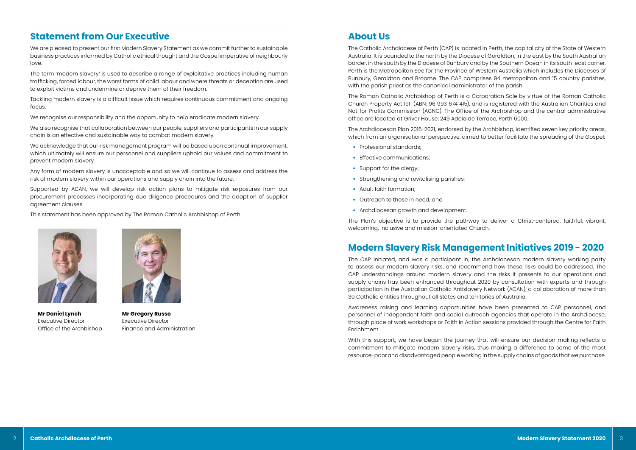# **Statement from Our Executive**

We are pleased to present our first Modern Slavery Statement as we commit further to sustainable business practices informed by Catholic ethical thought and the Gospel imperative of neighbourly love.

The term 'modern slavery' is used to describe a range of exploitative practices including human trafficking, forced labour, the worst forms of child labour and where threats or deception are used to exploit victims and undermine or deprive them of their freedom.

Tackling modern slavery is a difficult issue which requires continuous commitment and ongoing focus.

We recognise our responsibility and the opportunity to help eradicate modern slavery.

We also recognise that collaboration between our people, suppliers and participants in our supply chain is an effective and sustainable way to combat modern slavery.

We acknowledge that our risk management program will be based upon continual improvement, which ultimately will ensure our personnel and suppliers uphold our values and commitment to prevent modern slavery.

Any form of modern slavery is unacceptable and so we will continue to assess and address the risk of modern slavery within our operations and supply chain into the future.

Supported by ACAN, we will develop risk action plans to mitigate risk exposures from our procurement processes incorporating due diligence procedures and the adoption of supplier agreement clauses.

This statement has been approved by The Roman Catholic Archbishop of Perth.



**Mr Daniel Lynch** Executive Director Office of the Archbishop



**Mr Gregory Russo** Executive Director Finance and Administration

## **About Us**

The Catholic Archdiocese of Perth (CAP) is located in Perth, the capital city of the State of Western Australia. It is bounded to the north by the Diocese of Geraldton, in the east by the South Australian border, in the south by the Diocese of Bunbury and by the Southern Ocean in its south-east corner. Perth is the Metropolitan See for the Province of Western Australia which includes the Dioceses of Bunbury, Geraldton and Broome. The CAP comprises 94 metropolitan and 15 country parishes, with the parish priest as the canonical administrator of the parish.

The Roman Catholic Archbishop of Perth is a Corporation Sole by virtue of the Roman Catholic Church Property Act 1911 (ABN: 96 993 674 415), and is registered with the Australian Charities and Not-for-Profits Commission (ACNC). The Office of the Archbishop and the central administrative office are located at Griver House, 249 Adelaide Terrace, Perth 6000.

The Archdiocesan Plan 2016-2021, endorsed by the Archbishop, identified seven key priority areas, which from an organisational perspective, aimed to better facilitate the spreading of the Gospel:

- Professional standards;
- Effective communications:
- Support for the clergy;
- Strengthening and revitalising parishes;
- Adult faith formation;
- Outreach to those in need; and
- Archdiocesan growth and development.

The Plan's objective is to provide the pathway to deliver a Christ-centered, faithful, vibrant, welcoming, inclusive and mission-orientated Church.

# **Modern Slavery Risk Management Initiatives 2019 - 2020**

The CAP initiated, and was a participant in, the Archdiocesan modern slavery working party to assess our modern slavery risks, and recommend how these risks could be addressed. The CAP understandings around modern slavery and the risks it presents to our operations and supply chains has been enhanced throughout 2020 by consultation with experts and through participation in the Australian Catholic Antislavery Network (ACAN), a collaboration of more than 30 Catholic entities throughout all states and territories of Australia.

Awareness raising and learning opportunities have been presented to CAP personnel, and personnel of independent faith and social outreach agencies that operate in the Archdiocese, through place of work workshops or Faith in Action sessions provided through the Centre for Faith Enrichment.

With this support, we have begun the journey that will ensure our decision making reflects a commitment to mitigate modern slavery risks, thus making a difference to some of the most resource-poor and disadvantaged people working in the supply chains of goods that we purchase.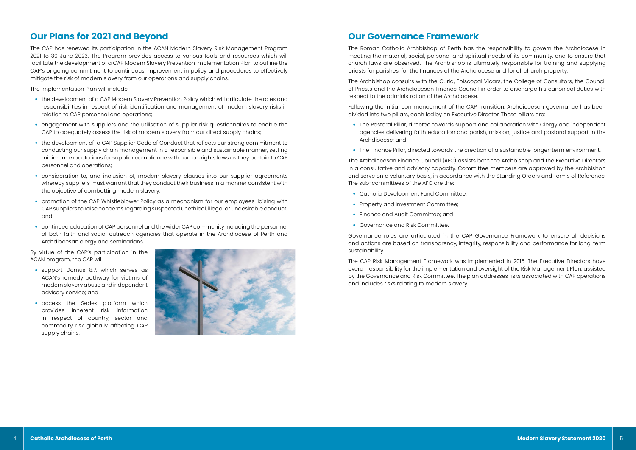## **Our Plans for 2021 and Beyond**

The CAP has renewed its participation in the ACAN Modern Slavery Risk Management Program 2021 to 30 June 2023. The Program provides access to various tools and resources which will facilitate the development of a CAP Modern Slavery Prevention Implementation Plan to outline the CAP's ongoing commitment to continuous improvement in policy and procedures to effectively mitigate the risk of modern slavery from our operations and supply chains.

The Implementation Plan will include:

- the development of a CAP Modern Slavery Prevention Policy which will articulate the roles and responsibilities in respect of risk identification and management of modern slavery risks in relation to CAP personnel and operations;
- engagement with suppliers and the utilisation of supplier risk questionnaires to enable the CAP to adequately assess the risk of modern slavery from our direct supply chains;
- the development of a CAP Supplier Code of Conduct that reflects our strong commitment to conducting our supply chain management in a responsible and sustainable manner, setting minimum expectations for supplier compliance with human rights laws as they pertain to CAP personnel and operations;
- consideration to, and inclusion of, modern slavery clauses into our supplier agreements whereby suppliers must warrant that they conduct their business in a manner consistent with the objective of combatting modern slavery;
- promotion of the CAP Whistleblower Policy as a mechanism for our employees liaising with CAP suppliers to raise concerns regarding suspected unethical, illegal or undesirable conduct; and
- continued education of CAP personnel and the wider CAP community including the personnel of both faith and social outreach agencies that operate in the Archdiocese of Perth and Archdiocesan clergy and seminarians.

By virtue of the CAP's participation in the ACAN program, the CAP will:

- support Domus 8.7, which serves as ACAN's remedy pathway for victims of modern slavery abuse and independent advisory service; and
- access the Sedex platform which provides inherent risk information in respect of country, sector and commodity risk globally affecting CAP supply chains.



## **Our Governance Framework**

The Roman Catholic Archbishop of Perth has the responsibility to govern the Archdiocese in meeting the material, social, personal and spiritual needs of its community, and to ensure that church laws are observed. The Archbishop is ultimately responsible for training and supplying priests for parishes, for the finances of the Archdiocese and for all church property.

The Archbishop consults with the Curia, Episcopal Vicars, the College of Consultors, the Council of Priests and the Archdiocesan Finance Council in order to discharge his canonical duties with respect to the administration of the Archdiocese.

Following the initial commencement of the CAP Transition, Archdiocesan governance has been divided into two pillars, each led by an Executive Director. These pillars are:

agencies delivering faith education and parish, mission, justice and pastoral support in the

- The Pastoral Pillar, directed towards support and collaboration with Clergy and independent Archdiocese; and
- The Finance Pillar, directed towards the creation of a sustainable longer-term environment.

The Archdiocesan Finance Council (AFC) assists both the Archbishop and the Executive Directors in a consultative and advisory capacity. Committee members are approved by the Archbishop and serve on a voluntary basis, in accordance with the Standing Orders and Terms of Reference. The sub-committees of the AFC are the:

- Catholic Development Fund Committee;
- Property and Investment Committee;
- Finance and Audit Committee; and
- Governance and Risk Committee.

Governance roles are articulated in the CAP Governance Framework to ensure all decisions and actions are based on transparency, integrity, responsibility and performance for long-term sustainability.

The CAP Risk Management Framework was implemented in 2015. The Executive Directors have overall responsibility for the implementation and oversight of the Risk Management Plan, assisted by the Governance and Risk Committee. The plan addresses risks associated with CAP operations and includes risks relating to modern slavery.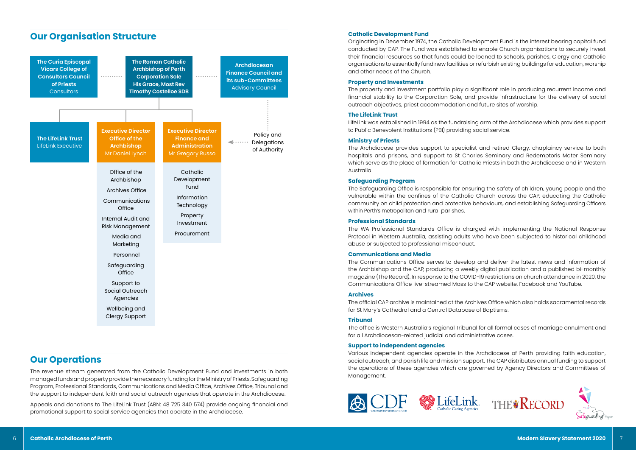## **Our Organisation Structure**



## **Catholic Development Fund**

Originating in December 1974, the Catholic Development Fund is the interest bearing capital fund conducted by CAP. The Fund was established to enable Church organisations to securely invest their financial resources so that funds could be loaned to schools, parishes, Clergy and Catholic organisations to essentially fund new facilities or refurbish existing buildings for education, worship and other needs of the Church.

#### **Property and Investments**

The property and investment portfolio play a significant role in producing recurrent income and financial stability to the Corporation Sole, and provide infrastructure for the delivery of social outreach objectives, priest accommodation and future sites of worship.

#### **The LifeLink Trust**

LifeLink was established in 1994 as the fundraising arm of the Archdiocese which provides support to Public Benevolent Institutions (PBI) providing social service.

#### **Ministry of Priests**

The Archdiocese provides support to specialist and retired Clergy, chaplaincy service to both hospitals and prisons, and support to St Charles Seminary and Redemptoris Mater Seminary which serve as the place of formation for Catholic Priests in both the Archdiocese and in Western Australia.

#### **Safeguarding Program**

The Safeguarding Office is responsible for ensuring the safety of children, young people and the vulnerable within the confines of the Catholic Church across the CAP, educating the Catholic community on child protection and protective behaviours, and establishing Safeguarding Officers within Perth's metropolitan and rural parishes.

### **Professional Standards**

The WA Professional Standards Office is charged with implementing the National Response Protocol in Western Australia, assisting adults who have been subjected to historical childhood abuse or subjected to professional misconduct.

#### **Communications and Media**

The Communications Office serves to develop and deliver the latest news and information of the Archbishop and the CAP, producing a weekly digital publication and a published bi-monthly magazine (The Record). In response to the COVID-19 restrictions on church attendance in 2020, the Communications Office live-streamed Mass to the CAP website, Facebook and YouTube.

#### **Archives**

The official CAP archive is maintained at the Archives Office which also holds sacramental records for St Mary's Cathedral and a Central Database of Baptisms.

### **Tribunal**

The office is Western Australia's regional Tribunal for all formal cases of marriage annulment and for all Archdiocesan-related judicial and administrative cases.

### **Support to independent agencies**

Various independent agencies operate in the Archdiocese of Perth providing faith education, social outreach, and parish life and mission support. The CAP distributes annual funding to support the operations of these agencies which are governed by Agency Directors and Committees of Management.



## **Our Operations**

The revenue stream generated from the Catholic Development Fund and investments in both managed funds and property provide the necessary funding for the Ministry of Priests, Safeguarding Program, Professional Standards, Communications and Media Office, Archives Office, Tribunal and the support to independent faith and social outreach agencies that operate in the Archdiocese.

Appeals and donations to The LifeLink Trust (ABN: 48 725 340 574) provide ongoing financial and promotional support to social service agencies that operate in the Archdiocese.



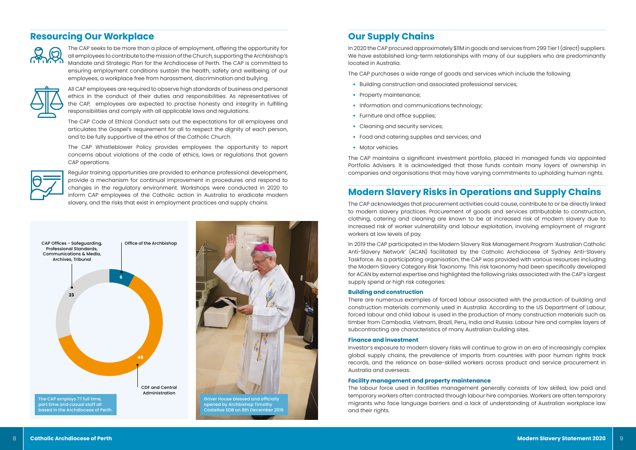

- Building construction and associated professional services;
- Property maintenance;
- Information and communications technology;
- Furniture and office supplies;
- Cleaning and security services:
- Food and catering supplies and services; and
- Motor vehicles.

## **Our Supply Chains**

In 2020 the CAP procured approximately \$11M in goods and services from 299 Tier 1 (direct) suppliers. We have established long-term relationships with many of our suppliers who are predominantly located in Australia.

The CAP purchases a wide range of goods and services which include the following:

The CAP maintains a significant investment portfolio, placed in managed funds via appointed Portfolio Advisers. It is acknowledged that those funds contain many layers of ownership in companies and organisations that may have varying commitments to upholding human rights.

# **Modern Slavery Risks in Operations and Supply Chains**

The CAP acknowledges that procurement activities could cause, contribute to or be directly linked to modern slavery practices. Procurement of goods and services attributable to construction, clothing, catering and cleaning are known to be at increased risk of modern slavery due to increased risk of worker vulnerability and labour exploitation, involving employment of migrant workers at low levels of pay.

In 2019 the CAP participated in the Modern Slavery Risk Management Program 'Australian Catholic Anti-Slavery Network' (ACAN) facilitated by the Catholic Archdiocese of Sydney Anti-Slavery Taskforce. As a participating organisation, the CAP was provided with various resources including the Modern Slavery Category Risk Taxonomy. This risk taxonomy had been specifically developed for ACAN by external expertise and highlighted the following risks associated with the CAP's largest supply spend or high risk categories:

## **Building and construction**

There are numerous examples of forced labour associated with the production of building and construction materials commonly used in Australia. According to the US Department of Labour, forced labour and child labour is used in the production of many construction materials such as timber from Cambodia, Vietnam, Brazil, Peru, India and Russia. Labour hire and complex layers of subcontracting are characteristics of many Australian building sites.

### **Finance and investment**

Investor's exposure to modern slavery risks will continue to grow in an era of increasingly complex global supply chains, the prevalence of imports from countries with poor human rights track records, and the reliance on base-skilled workers across product and service procurement in Australia and overseas.

## **Facility management and property maintenance**

The labour force used in facilities management generally consists of low skilled, low paid and temporary workers often contracted through labour hire companies. Workers are often temporary migrants who face language barriers and a lack of understanding of Australian workplace law and their rights.

## **Resourcing Our Workplace**



The CAP seeks to be more than a place of employment, offering the opportunity for all employees to contribute to the mission of the Church, supporting the Archbishop's Mandate and Strategic Plan for the Archdiocese of Perth. The CAP is committed to ensuring employment conditions sustain the health, safety and wellbeing of our employees, a workplace free from harassment, discrimination and bullying.



All CAP employees are required to observe high standards of business and personal ethics in the conduct of their duties and responsibilities. As representatives of the CAP, employees are expected to practise honesty and integrity in fulfilling responsibilities and comply with all applicable laws and regulations.

The CAP Code of Ethical Conduct sets out the expectations for all employees and articulates the Gospel's requirement for all to respect the dignity of each person, and to be fully supportive of the ethos of the Catholic Church.

The CAP Whistleblower Policy provides employees the opportunity to report concerns about violations of the code of ethics, laws or regulations that govern CAP operations.



Regular training opportunities are provided to enhance professional development, provide a mechanism for continual improvement in procedures and respond to changes in the regulatory environment. Workshops were conducted in 2020 to inform CAP employees of the Catholic action in Australia to eradicate modern slavery, and the risks that exist in employment practices and supply chains.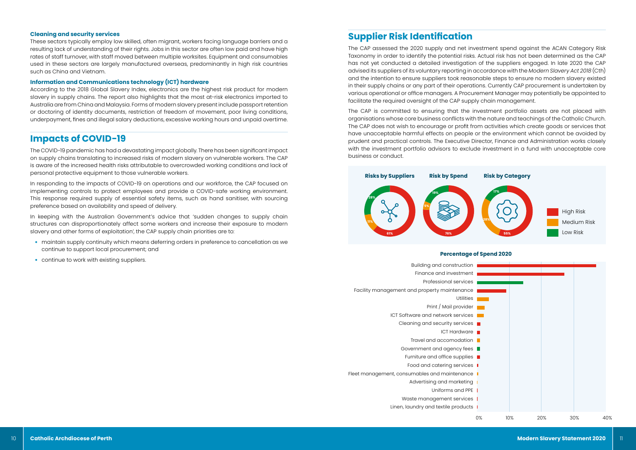## **Cleaning and security services**

These sectors typically employ low skilled, often migrant, workers facing language barriers and a resulting lack of understanding of their rights. Jobs in this sector are often low paid and have high rates of staff turnover, with staff moved between multiple worksites. Equipment and consumables used in these sectors are largely manufactured overseas, predominantly in high risk countries such as China and Vietnam.

## **Information and Communications technology (ICT) hardware**

According to the 2018 Global Slavery Index, electronics are the highest risk product for modern slavery in supply chains. The report also highlights that the most at-risk electronics imported to Australia are from China and Malaysia. Forms of modern slavery present include passport retention or doctoring of identity documents, restriction of freedom of movement, poor living conditions, underpayment, fines and illegal salary deductions, excessive working hours and unpaid overtime.

- maintain supply continuity which means deferring orders in preference to cancellation as we continue to support local procurement; and
- continue to work with existing suppliers.

## **Impacts of COVID-19**

The COVID-19 pandemic has had a devastating impact globally. There has been significant impact on supply chains translating to increased risks of modern slavery on vulnerable workers. The CAP is aware of the increased health risks attributable to overcrowded working conditions and lack of personal protective equipment to those vulnerable workers.

In responding to the impacts of COVID-19 on operations and our workforce, the CAP focused on implementing controls to protect employees and provide a COVID-safe working environment. This response required supply of essential safety items, such as hand sanitiser, with sourcing preference based on availability and speed of delivery.

In keeping with the Australian Government's advice that 'sudden changes to supply chain structures can disproportionately affect some workers and increase their exposure to modern slavery and other forms of exploitation', the CAP supply chain priorities are to:

# **Supplier Risk Identification**

The CAP assessed the 2020 supply and net investment spend against the ACAN Category Risk Taxonomy in order to identify the potential risks. Actual risk has not been determined as the CAP has not yet conducted a detailed investigation of the suppliers engaged. In late 2020 the CAP advised its suppliers of its voluntary reporting in accordance with the *Modern Slavery Act 2018* (Cth) and the intention to ensure suppliers took reasonable steps to ensure no modern slavery existed in their supply chains or any part of their operations. Currently CAP procurement is undertaken by various operational or office managers. A Procurement Manager may potentially be appointed to facilitate the required oversight of the CAP supply chain management.

The CAP is committed to ensuring that the investment portfolio assets are not placed with organisations whose core business conflicts with the nature and teachings of the Catholic Church. The CAP does not wish to encourage or profit from activities which create goods or services that have unacceptable harmful effects on people or the environment which cannot be avoided by prudent and practical controls. The Executive Director, Finance and Administration works closely with the investment portfolio advisors to exclude investment in a fund with unacceptable core business or conduct.



- Building and construction
- Finance and investment
	- Professional services
- Facility management and property maintenance
	- Utilities
	- Print / Mail provider
	- ICT Software and network services
		- Cleaning and security services **T** 
			- ICT Hardware
			- Travel and accomodation
		- Government and agency fees
	- Furniture and office supplies  $\blacksquare$ 
		- Food and catering services ||
- Fleet management, consumables and maintenance
	- Advertising and marketing
		- Uniforms and PPE
	- Waste management services
	- Linen, laundry and textile products



## **Percentage of Spend 2020**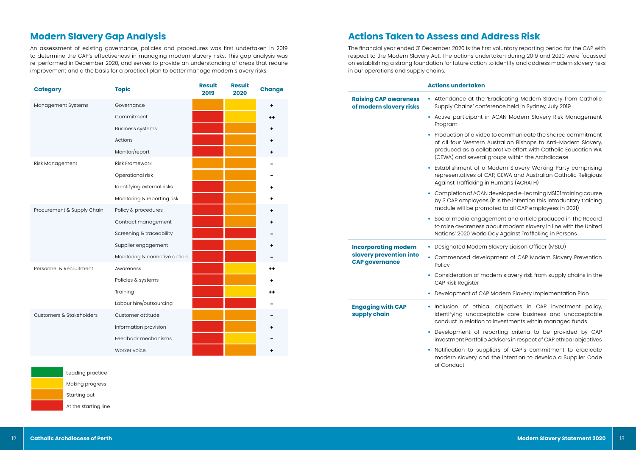# **Modern Slavery Gap Analysis**

An assessment of existing governance, policies and procedures was first undertaken in 2019 to determine the CAP's effectiveness in managing modern slavery risks. This gap analysis was re-performed in December 2020, and serves to provide an understanding of areas that require improvement and a the basis for a practical plan to better manage modern slavery risks.

| <b>Category</b>            | <b>Topic</b>                   | <b>Result</b><br>2019 | <b>Result</b><br>2020 | <b>Change</b> |
|----------------------------|--------------------------------|-----------------------|-----------------------|---------------|
| Management Systems         | Governance                     |                       |                       |               |
|                            | Commitment                     |                       |                       | ++            |
|                            | <b>Business systems</b>        |                       |                       |               |
|                            | Actions                        |                       |                       |               |
|                            | Monitor/report                 |                       |                       |               |
| Risk Management            | <b>Risk Framework</b>          |                       |                       |               |
|                            | Operational risk               |                       |                       |               |
|                            | Identifying external risks     |                       |                       |               |
|                            | Monitoring & reporting risk    |                       |                       |               |
| Procurement & Supply Chain | Policy & procedures            |                       |                       |               |
|                            | Contract management            |                       |                       |               |
|                            | Screening & traceability       |                       |                       |               |
|                            | Supplier engagement            |                       |                       | ٠             |
|                            | Monitoring & corrective action |                       |                       |               |
| Personnel & Recruitment    | Awareness                      |                       |                       | ++            |
|                            | Policies & systems             |                       |                       |               |
|                            | Training                       |                       |                       | ++            |
|                            | Labour hire/outsourcing        |                       |                       |               |
| Customers & Stakeholders   | Customer attitude              |                       |                       |               |
|                            | Information provision          |                       |                       |               |
|                            | Feedback mechanisms            |                       |                       |               |
|                            | Worker voice                   |                       |                       |               |

## Leading practice

Making progress

Starting out

At the starting line



The financial year ended 31 December 2020 is the first voluntary reporting period for the CAP with respect to the Modern Slavery Act. The actions undertaken during 2019 and 2020 were focussed on establishing a strong foundation for future action to identify and address modern slavery risks in our operations and supply chains.

#### **Actions undertaken**

uppliers of CAP's commitment to eradicate modern slavery and the intention to develop a Supplier Code

| <b>Raising CAP awareness</b><br>of modern slavery risks | Attendance at the<br>Supply Chains' co                                            |
|---------------------------------------------------------|-----------------------------------------------------------------------------------|
|                                                         | Active participant<br>Program                                                     |
|                                                         | Production of a vic<br>of all four Wester<br>produced as a co<br>(CEWA) and sever |
|                                                         | Establishment of<br>representatives of<br>Against Trafficking                     |
|                                                         | Completion of AC/<br>by 3 CAP employe<br>module will be pro                       |
|                                                         | Social media engo<br>to raise awarenes:<br>Nations' 2020 Worl                     |
| <b>Incorporating modern</b>                             | <b>Designated Mode</b>                                                            |
| slavery prevention into<br><b>CAP governance</b>        | Commenced dev<br>Policy                                                           |
|                                                         | Consideration of r<br>CAP Risk Register                                           |
|                                                         | Development of C                                                                  |
| <b>Engaging with CAP</b><br>supply chain                | Inclusion of ethi<br>identifying unacc<br>conduct in relatior                     |
|                                                         | Development of<br>investment Portfol                                              |
|                                                         | Notification to su                                                                |



of Conduct

e 'Eradicating Modern Slavery from Catholic Inference held in Sydney, July 2019

in ACAN Modern Slavery Risk Management

deo to communicate the shared commitment n Australian Bishops to Anti-Modern Slavery, pllaborative effort with Catholic Education WA ral groups within the Archdiocese

a Modern Slavery Working Party comprising CAP, CEWA and Australian Catholic Religious g in Humans (ACRATH)

AN developed e-learning MS101 training course bes (it is the intention this introductory training omoted to all CAP employees in 2021)

agement and article produced in The Record is about modern slavery in line with the United Id Day Against Trafficking in Persons

 $\epsilon$ rn Slavery Liaison Officer (MSLO)

velopment of CAP Modern Slavery Prevention

modern slavery risk from supply chains in the

CAP Modern Slavery Implementation Plan

ical objectives in CAP investment policy, ceptable core business and unacceptable In to investments within managed funds

reporting criteria to be provided by CAP lio Advisers in respect of CAP ethical objectives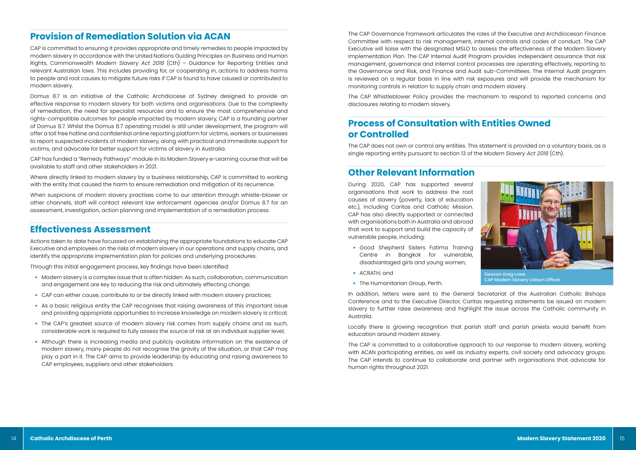## **Provision of Remediation Solution via ACAN**

CAP is committed to ensuring it provides appropriate and timely remedies to people impacted by modern slavery in accordance with the United Nations Guiding Principles on Business and Human Rights, Commonwealth *Modern Slavery Act 2018* (Cth) – Guidance for Reporting Entities and relevant Australian laws. This includes providing for, or cooperating in, actions to address harms to people and root causes to mitigate future risks if CAP is found to have caused or contributed to modern slavery.

Domus 8.7 is an initiative of the Catholic Archdiocese of Sydney designed to provide an effective response to modern slavery for both victims and organisations. Due to the complexity of remediation, the need for specialist resources and to ensure the most comprehensive and rights-compatible outcomes for people impacted by modern slavery, CAP is a founding partner of Domus 8.7. Whilst the Domus 8.7 operating model is still under development, the program will offer a toll free hotline and confidential online reporting platform for victims, workers or businesses to report suspected incidents of modern slavery, along with practical and immediate support for victims, and advocate for better support for victims of slavery in Australia.

CAP has funded a "Remedy Pathways" module in its Modern Slavery e-Learning course that will be available to staff and other stakeholders in 2021.

Where directly linked to modern slavery by a business relationship, CAP is committed to working with the entity that caused the harm to ensure remediation and mitigation of its recurrence.

When suspicions of modern slavery practises come to our attention through whistle-blower or other channels, staff will contact relevant law enforcement agencies and/or Domus 8.7 for an assessment, investigation, action planning and implementation of a remediation process.

## **Effectiveness Assessment**

Actions taken to date have focussed on establishing the appropriate foundations to educate CAP Executive and employees on the risks of modern slavery in our operations and supply chains, and identify the appropriate implementation plan for policies and underlying procedures.

Through this initial engagement process, key findings have been identified:

- Modern slavery is a complex issue that is often hidden. As such, collaboration, communication and engagement are key to reducing the risk and ultimately effecting change;
- CAP can either cause, contribute to or be directly linked with modern slavery practices;
- As a basic religious entity the CAP recognises that raising awareness of this important issue and providing appropriate opportunities to increase knowledge on modern slavery is critical;
- The CAP's greatest source of modern slavery risk comes from supply chains and as such, considerable work is required to fully assess the source of risk at an individual supplier level;
- Although there is increasing media and publicly available information on the existence of modern slavery, many people do not recognise the gravity of the situation, or that CAP may play a part in it. The CAP aims to provide leadership by educating and raising awareness to CAP employees, suppliers and other stakeholders.

The CAP Governance Framework articulates the roles of the Executive and Archdiocesan Finance Committee with respect to risk management, internal controls and codes of conduct. The CAP Executive will liaise with the designated MSLO to assess the effectiveness of the Modern Slavery Implementation Plan. The CAP Internal Audit Program provides independent assurance that risk management, governance and internal control processes are operating effectively, reporting to the Governance and Risk, and Finance and Audit sub-Committees. The Internal Audit program is reviewed on a regular basis in line with risk exposures and will provide the mechanism for monitoring controls in relation to supply chain and modern slavery.

The CAP Whistleblower Policy provides the mechanism to respond to reported concerns and disclosures relating to modern slavery.

# **Process of Consultation with Entities Owned or Controlled**

The CAP does not own or control any entities. This statement is provided on a voluntary basis, as a single reporting entity pursuant to section 13 of the *Modern Slavery Act 2018* (Cth).

## **Other Relevant Information**

During 2020, CAP has supported several organisations that work to address the root causes of slavery (poverty, lack of education etc.), including Caritas and Catholic Mission. CAP has also directly supported or connected with organisations both in Australia and abroad that work to support and build the capacity of vulnerable people, including:

- Good Shepherd Sisters Fatima Training Centre in Bangkok for vulnerable, disadvantaged girls and young women;
- ACRATH; and
- The Humanitarian Group, Perth.

In addition, letters were sent to the General Secretariat of the Australian Catholic Bishops Conference and to the Executive Director, Caritas requesting statements be issued on modern slavery to further raise awareness and highlight the issue across the Catholic community in Australia.

Locally there is growing recognition that parish staff and parish priests would benefit from education around modern slavery.

The CAP is committed to a collaborative approach to our response to modern slavery, working with ACAN participating entities, as well as industry experts, civil society and advocacy groups. The CAP intends to continue to collaborate and partner with organisations that advocate for human rights throughout 2021.



CAP Modern Slavery Liaison Officer